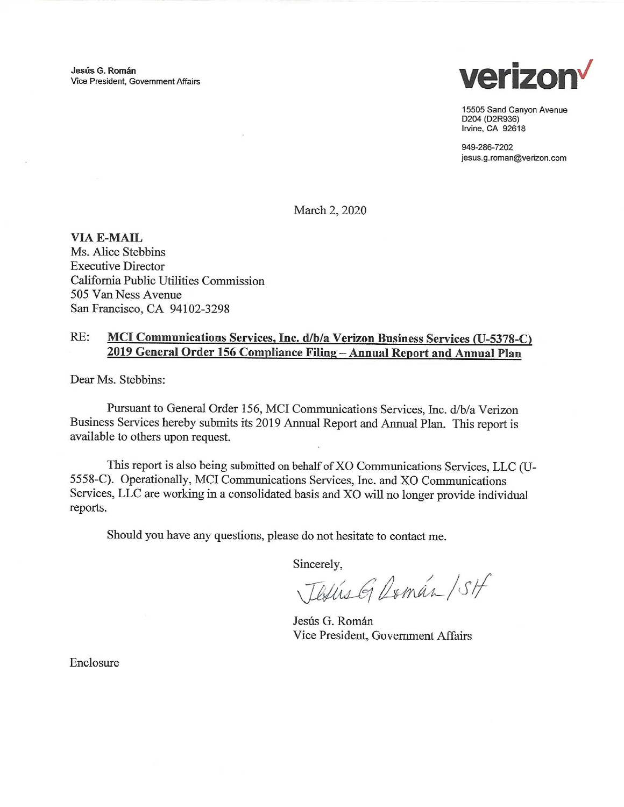Jesús G. Román Vice President, Government Affairs



15505 Sand Canyon Avenue D204 (D2R936) Irvine, CA 92618

949-286-7202 jesus.g.roman@verizon.com

March 2, 2020

**VIA E-MAIL** Ms. Alice Stebbins **Executive Director** California Public Utilities Commission 505 Van Ness Avenue San Francisco, CA 94102-3298

## RE: MCI Communications Services, Inc. d/b/a Verizon Business Services (U-5378-C) 2019 General Order 156 Compliance Filing - Annual Report and Annual Plan

Dear Ms. Stebbins:

Pursuant to General Order 156, MCI Communications Services, Inc. d/b/a Verizon Business Services hereby submits its 2019 Annual Report and Annual Plan. This report is available to others upon request.

This report is also being submitted on behalf of XO Communications Services, LLC (U-5558-C). Operationally, MCI Communications Services, Inc. and XO Communications Services, LLC are working in a consolidated basis and XO will no longer provide individual reports.

Should you have any questions, please do not hesitate to contact me.

Sincerely,

Textis G Domán / SH

Jesús G. Román Vice President, Government Affairs

Enclosure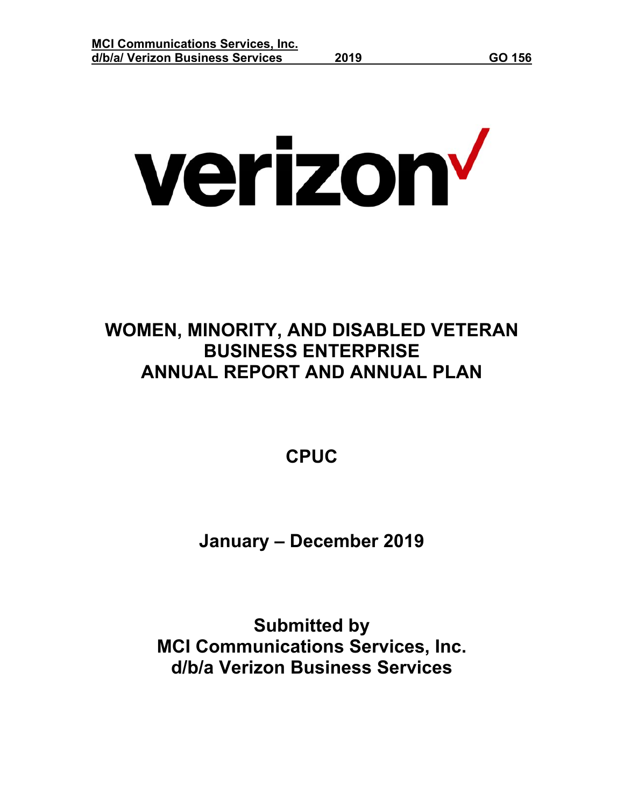# verizon<sup>v</sup>

# **WOMEN, MINORITY, AND DISABLED VETERAN BUSINESS ENTERPRISE ANNUAL REPORT AND ANNUAL PLAN**

**CPUC** 

**January – December 2019** 

**Submitted by MCI Communications Services, Inc. d/b/a Verizon Business Services**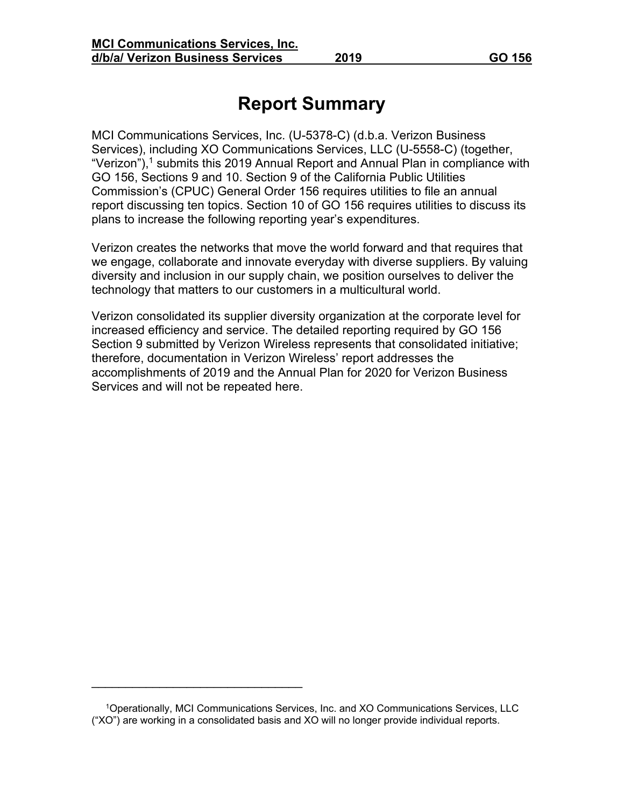# **Report Summary**

MCI Communications Services, Inc. (U-5378-C) (d.b.a. Verizon Business Services), including XO Communications Services, LLC (U-5558-C) (together, "Verizon"),<sup>1</sup> submits this 2019 Annual Report and Annual Plan in compliance with GO 156, Sections 9 and 10. Section 9 of the California Public Utilities Commission's (CPUC) General Order 156 requires utilities to file an annual report discussing ten topics. Section 10 of GO 156 requires utilities to discuss its plans to increase the following reporting year's expenditures.

Verizon creates the networks that move the world forward and that requires that we engage, collaborate and innovate everyday with diverse suppliers. By valuing diversity and inclusion in our supply chain, we position ourselves to deliver the technology that matters to our customers in a multicultural world.

Verizon consolidated its supplier diversity organization at the corporate level for increased efficiency and service. The detailed reporting required by GO 156 Section 9 submitted by Verizon Wireless represents that consolidated initiative; therefore, documentation in Verizon Wireless' report addresses the accomplishments of 2019 and the Annual Plan for 2020 for Verizon Business Services and will not be repeated here.

\_\_\_\_\_\_\_\_\_\_\_\_\_\_\_\_\_\_\_\_\_\_\_\_\_\_\_\_\_\_\_

 <sup>1</sup>Operationally, MCI Communications Services, Inc. and XO Communications Services, LLC ("XO") are working in a consolidated basis and XO will no longer provide individual reports.